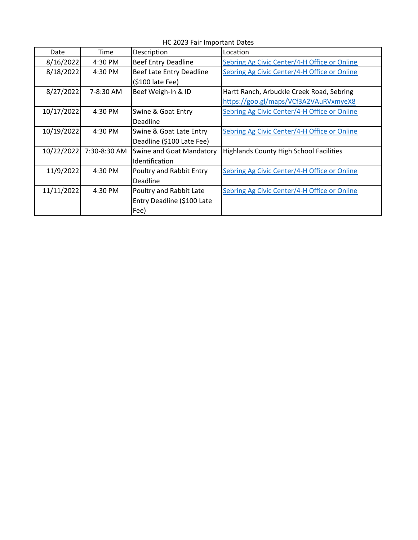| Date       | Time         | Description                | Location                                       |
|------------|--------------|----------------------------|------------------------------------------------|
| 8/16/2022  | 4:30 PM      | <b>Beef Entry Deadline</b> | Sebring Ag Civic Center/4-H Office or Online   |
| 8/18/2022  | 4:30 PM      | Beef Late Entry Deadline   | Sebring Ag Civic Center/4-H Office or Online   |
|            |              | (\$100 late Fee)           |                                                |
| 8/27/2022  | 7-8:30 AM    | Beef Weigh-In & ID         | Hartt Ranch, Arbuckle Creek Road, Sebring      |
|            |              |                            | https://goo.gl/maps/VCf3A2VAuRVxmyeX8          |
| 10/17/2022 | 4:30 PM      | Swine & Goat Entry         | Sebring Ag Civic Center/4-H Office or Online   |
|            |              | Deadline                   |                                                |
| 10/19/2022 | 4:30 PM      | Swine & Goat Late Entry    | Sebring Ag Civic Center/4-H Office or Online   |
|            |              | Deadline (\$100 Late Fee)  |                                                |
| 10/22/2022 | 7:30-8:30 AM | Swine and Goat Mandatory   | <b>Highlands County High School Facilities</b> |
|            |              | Identification             |                                                |
| 11/9/2022  | 4:30 PM      | Poultry and Rabbit Entry   | Sebring Ag Civic Center/4-H Office or Online   |
|            |              | Deadline                   |                                                |
| 11/11/2022 | 4:30 PM      | Poultry and Rabbit Late    | Sebring Ag Civic Center/4-H Office or Online   |
|            |              | Entry Deadline (\$100 Late |                                                |
|            |              | Fee)                       |                                                |

HC 2023 Fair Important Dates